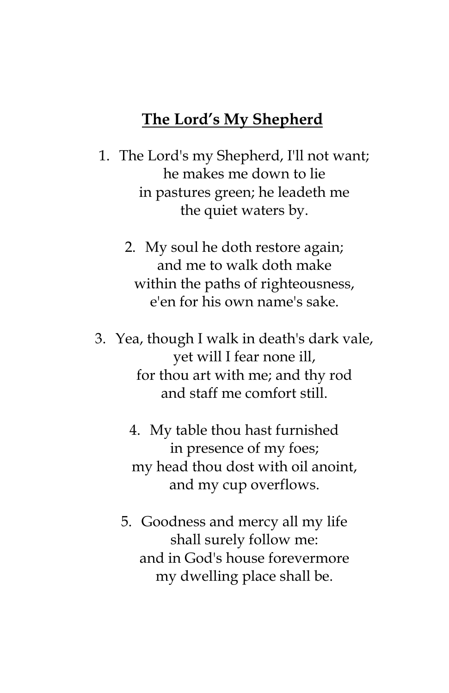### **The Lord's My Shepherd**

- 1. The Lord's my Shepherd, I'll not want; he makes me down to lie in pastures green; he leadeth me the quiet waters by.
	- 2. My soul he doth restore again; and me to walk doth make within the paths of righteousness, e'en for his own name's sake.
- 3. Yea, though I walk in death's dark vale, yet will I fear none ill, for thou art with me; and thy rod and staff me comfort still.
	- 4. My table thou hast furnished in presence of my foes; my head thou dost with oil anoint, and my cup overflows.
	- 5. Goodness and mercy all my life shall surely follow me: and in God's house forevermore my dwelling place shall be.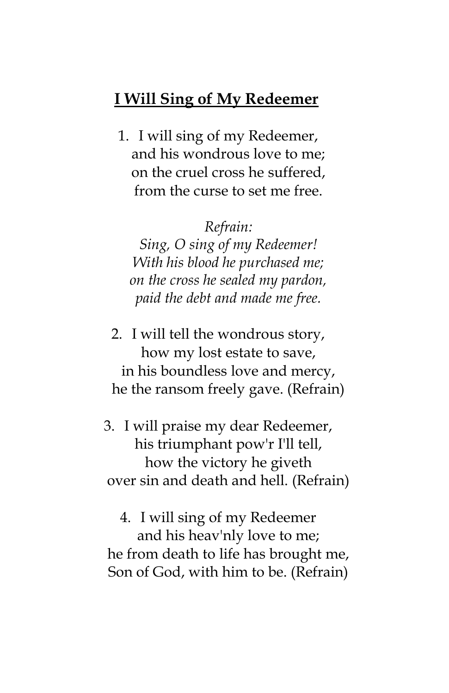### **I Will Sing of My Redeemer**

1. I will sing of my Redeemer, and his wondrous love to me; on the cruel cross he suffered, from the curse to set me free.

#### *Refrain:*

*Sing, O sing of my Redeemer! With his blood he purchased me; on the cross he sealed my pardon, paid the debt and made me free.*

2. I will tell the wondrous story, how my lost estate to save, in his boundless love and mercy, he the ransom freely gave. (Refrain)

3. I will praise my dear Redeemer, his triumphant pow'r I'll tell, how the victory he giveth over sin and death and hell. (Refrain)

4. I will sing of my Redeemer and his heav'nly love to me; he from death to life has brought me, Son of God, with him to be. (Refrain)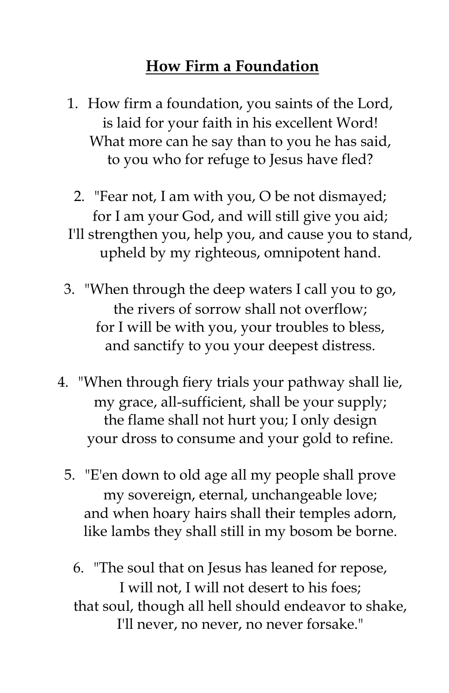# **How Firm a Foundation**

1. How firm a foundation, you saints of the Lord, is laid for your faith in his excellent Word! What more can he say than to you he has said, to you who for refuge to Jesus have fled?

2. "Fear not, I am with you, O be not dismayed; for I am your God, and will still give you aid; I'll strengthen you, help you, and cause you to stand, upheld by my righteous, omnipotent hand.

- 3. "When through the deep waters I call you to go, the rivers of sorrow shall not overflow; for I will be with you, your troubles to bless, and sanctify to you your deepest distress.
- 4. "When through fiery trials your pathway shall lie, my grace, all-sufficient, shall be your supply; the flame shall not hurt you; I only design your dross to consume and your gold to refine.
	- 5. "E'en down to old age all my people shall prove my sovereign, eternal, unchangeable love; and when hoary hairs shall their temples adorn, like lambs they shall still in my bosom be borne.

6. "The soul that on Jesus has leaned for repose, I will not, I will not desert to his foes; that soul, though all hell should endeavor to shake, I'll never, no never, no never forsake."